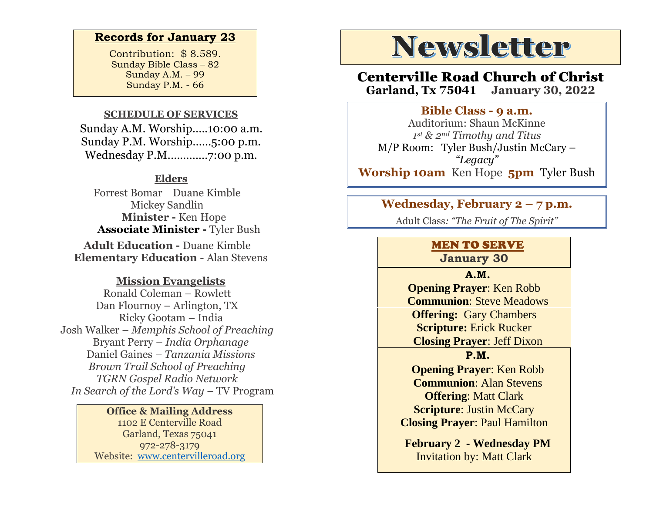#### **Records for January 23**

Contribution: \$ 8.589. Sunday Bible Class – 82 Sunday A.M. – 99 Sunday P.M. - 66

#### **SCHEDULE OF SERVICES**

 Sunday A.M. Worship.….10:00 a.m. Sunday P.M. Worship……5:00 p.m. Wednesday P.M.…………7:00 p.m.

#### **Elders**

Forrest Bomar Duane Kimble Mickey Sandlin  **Minister -** Ken Hope  **Associate Minister -** Tyler Bush

**Adult Education -** Duane Kimble **Elementary Education -** Alan Stevens

#### **Mission Evangelists**

Ronald Coleman – Rowlett Dan Flournoy – Arlington, TX Ricky Gootam – India Josh Walker – *Memphis School of Preaching* Bryant Perry – *India Orphanage* Daniel Gaines *– Tanzania Missions Brown Trail School of Preaching TGRN Gospel Radio Network In Search of the Lord's Way – TV Program* 

> **Office & Mailing Address** 1102 E Centerville Road Garland, Texas 75041 972-278-3179 Website: [www.centervilleroad.org](https://d.docs.live.net/97e199c461b763eb/Newsletter/News%202020/August%202020/www.centervilleroad.org)

# **Newsletter**

## Centerville Road Church of Christ **Garland, Tx 75041 January 30, 2022**

#### **Bible Class - 9 a.m.**

Auditorium: Shaun McKinne *1 st & 2nd Timothy and Titus* M/P Room: Tyler Bush/Justin McCary – *"Legacy"* **Worship 10am** Ken Hope **5pm** Tyler Bush 

# **Wednesday, February 2 – 7 p.m.**

Adult Class*: "The Fruit of The Spirit"*

#### MEN TO SERVE **January 30**

**A.M.**

**Opening Prayer**: Ken Robb **Communion**: Steve Meadows **Offering:** Gary Chambers **Scripture:** Erick Rucker **Closing Prayer**: Jeff Dixon

**P.M.**

**Opening Prayer**: Ken Robb **Communion**: Alan Stevens **Offering**: Matt Clark **Scripture**: Justin McCary **Closing Prayer**: Paul Hamilton

**February 2 - Wednesday PM**  Invitation by: Matt Clark